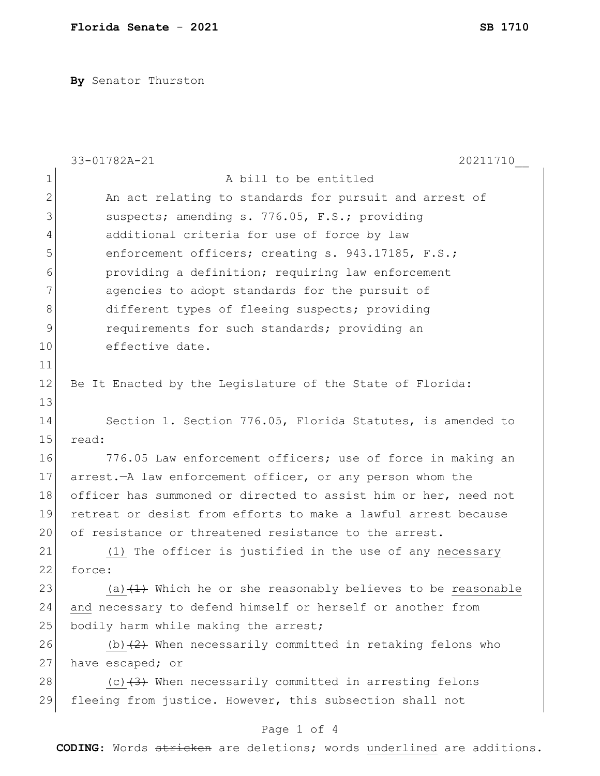**By** Senator Thurston

|                | 33-01782A-21<br>20211710                                            |  |  |  |  |  |
|----------------|---------------------------------------------------------------------|--|--|--|--|--|
| 1              | A bill to be entitled                                               |  |  |  |  |  |
| $\overline{2}$ | An act relating to standards for pursuit and arrest of              |  |  |  |  |  |
| 3              | suspects; amending s. 776.05, F.S.; providing                       |  |  |  |  |  |
| 4              | additional criteria for use of force by law                         |  |  |  |  |  |
| 5              | enforcement officers; creating s. 943.17185, F.S.;                  |  |  |  |  |  |
| 6              | providing a definition; requiring law enforcement                   |  |  |  |  |  |
| 7              | agencies to adopt standards for the pursuit of                      |  |  |  |  |  |
| 8              | different types of fleeing suspects; providing                      |  |  |  |  |  |
| 9              | requirements for such standards; providing an                       |  |  |  |  |  |
| 10             | effective date.                                                     |  |  |  |  |  |
| 11             |                                                                     |  |  |  |  |  |
| 12             | Be It Enacted by the Legislature of the State of Florida:           |  |  |  |  |  |
| 13             |                                                                     |  |  |  |  |  |
| 14             | Section 1. Section 776.05, Florida Statutes, is amended to          |  |  |  |  |  |
| 15             | read:                                                               |  |  |  |  |  |
| 16             | 776.05 Law enforcement officers; use of force in making an          |  |  |  |  |  |
| 17             | arrest. - A law enforcement officer, or any person whom the         |  |  |  |  |  |
| 18             | officer has summoned or directed to assist him or her, need not     |  |  |  |  |  |
| 19             | retreat or desist from efforts to make a lawful arrest because      |  |  |  |  |  |
| 20             | of resistance or threatened resistance to the arrest.               |  |  |  |  |  |
| 21             | (1) The officer is justified in the use of any necessary            |  |  |  |  |  |
| 22             | force:                                                              |  |  |  |  |  |
| 23             | (a) $(1)$ Which he or she reasonably believes to be reasonable      |  |  |  |  |  |
| 24             | and necessary to defend himself or herself or another from          |  |  |  |  |  |
| 25             | bodily harm while making the arrest;                                |  |  |  |  |  |
| 26             | (b) $\frac{2}{2}$ When necessarily committed in retaking felons who |  |  |  |  |  |
| 27             | have escaped; or                                                    |  |  |  |  |  |
| 28             | (c) $(3)$ When necessarily committed in arresting felons            |  |  |  |  |  |
| 29             | fleeing from justice. However, this subsection shall not            |  |  |  |  |  |
|                | Page 1 of 4                                                         |  |  |  |  |  |

**CODING**: Words stricken are deletions; words underlined are additions.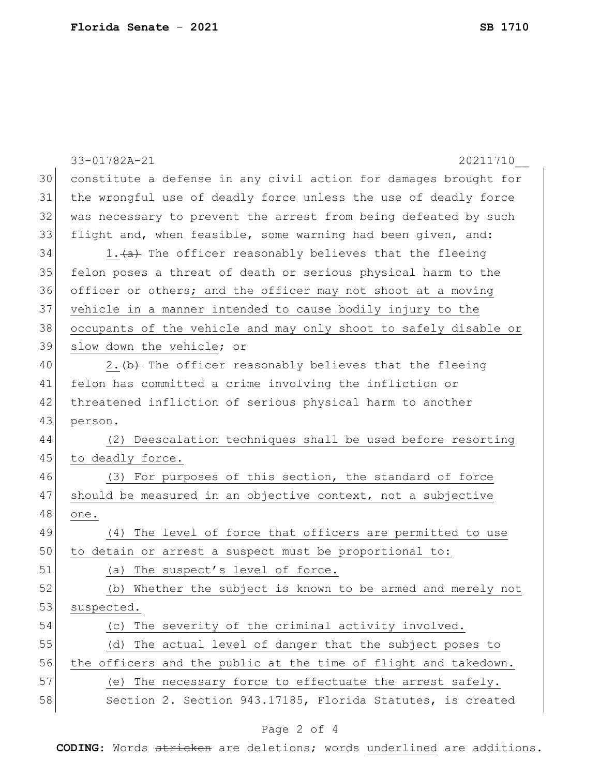|    | 33-01782A-21<br>20211710                                         |  |  |  |  |  |  |
|----|------------------------------------------------------------------|--|--|--|--|--|--|
| 30 | constitute a defense in any civil action for damages brought for |  |  |  |  |  |  |
| 31 | the wrongful use of deadly force unless the use of deadly force  |  |  |  |  |  |  |
| 32 | was necessary to prevent the arrest from being defeated by such  |  |  |  |  |  |  |
| 33 | flight and, when feasible, some warning had been given, and:     |  |  |  |  |  |  |
| 34 | 1. (a) The officer reasonably believes that the fleeing          |  |  |  |  |  |  |
| 35 | felon poses a threat of death or serious physical harm to the    |  |  |  |  |  |  |
| 36 | officer or others; and the officer may not shoot at a moving     |  |  |  |  |  |  |
| 37 | vehicle in a manner intended to cause bodily injury to the       |  |  |  |  |  |  |
| 38 | occupants of the vehicle and may only shoot to safely disable or |  |  |  |  |  |  |
| 39 | slow down the vehicle; or                                        |  |  |  |  |  |  |
| 40 | 2. (b) The officer reasonably believes that the fleeing          |  |  |  |  |  |  |
| 41 | felon has committed a crime involving the infliction or          |  |  |  |  |  |  |
| 42 | threatened infliction of serious physical harm to another        |  |  |  |  |  |  |
| 43 | person.                                                          |  |  |  |  |  |  |
| 44 | Deescalation techniques shall be used before resorting<br>(2)    |  |  |  |  |  |  |
| 45 | to deadly force.                                                 |  |  |  |  |  |  |
| 46 | (3) For purposes of this section, the standard of force          |  |  |  |  |  |  |
| 47 | should be measured in an objective context, not a subjective     |  |  |  |  |  |  |
| 48 | one.                                                             |  |  |  |  |  |  |
| 49 | The level of force that officers are permitted to use<br>(4)     |  |  |  |  |  |  |
| 50 | to detain or arrest a suspect must be proportional to:           |  |  |  |  |  |  |
| 51 | The suspect's level of force.<br>(a)                             |  |  |  |  |  |  |
| 52 | (b) Whether the subject is known to be armed and merely not      |  |  |  |  |  |  |
| 53 | suspected.                                                       |  |  |  |  |  |  |
| 54 | The severity of the criminal activity involved.<br>(C)           |  |  |  |  |  |  |
| 55 | (d) The actual level of danger that the subject poses to         |  |  |  |  |  |  |
| 56 | the officers and the public at the time of flight and takedown.  |  |  |  |  |  |  |
| 57 | (e) The necessary force to effectuate the arrest safely.         |  |  |  |  |  |  |
| 58 | Section 2. Section 943.17185, Florida Statutes, is created       |  |  |  |  |  |  |
|    |                                                                  |  |  |  |  |  |  |

## Page 2 of 4

**CODING**: Words stricken are deletions; words underlined are additions.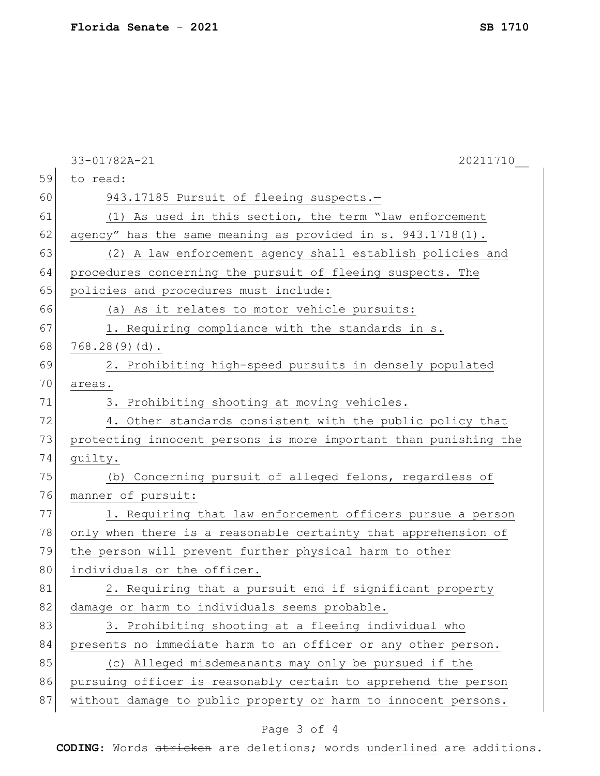|    | 33-01782A-21<br>20211710                                         |  |  |  |  |  |
|----|------------------------------------------------------------------|--|--|--|--|--|
| 59 | to read:                                                         |  |  |  |  |  |
| 60 | 943.17185 Pursuit of fleeing suspects.-                          |  |  |  |  |  |
| 61 | (1) As used in this section, the term "law enforcement           |  |  |  |  |  |
| 62 | agency" has the same meaning as provided in s. 943.1718(1).      |  |  |  |  |  |
| 63 | (2) A law enforcement agency shall establish policies and        |  |  |  |  |  |
| 64 | procedures concerning the pursuit of fleeing suspects. The       |  |  |  |  |  |
| 65 | policies and procedures must include:                            |  |  |  |  |  |
| 66 | (a) As it relates to motor vehicle pursuits:                     |  |  |  |  |  |
| 67 | 1. Requiring compliance with the standards in s.                 |  |  |  |  |  |
| 68 | 768.28(9)(d).                                                    |  |  |  |  |  |
| 69 | 2. Prohibiting high-speed pursuits in densely populated          |  |  |  |  |  |
| 70 | areas.                                                           |  |  |  |  |  |
| 71 | 3. Prohibiting shooting at moving vehicles.                      |  |  |  |  |  |
| 72 | 4. Other standards consistent with the public policy that        |  |  |  |  |  |
| 73 | protecting innocent persons is more important than punishing the |  |  |  |  |  |
| 74 | guilty.                                                          |  |  |  |  |  |
| 75 | (b) Concerning pursuit of alleged felons, regardless of          |  |  |  |  |  |
| 76 | manner of pursuit:                                               |  |  |  |  |  |
| 77 | 1. Requiring that law enforcement officers pursue a person       |  |  |  |  |  |
| 78 | only when there is a reasonable certainty that apprehension of   |  |  |  |  |  |
| 79 | the person will prevent further physical harm to other           |  |  |  |  |  |
| 80 | individuals or the officer.                                      |  |  |  |  |  |
| 81 | 2. Requiring that a pursuit end if significant property          |  |  |  |  |  |
| 82 | damage or harm to individuals seems probable.                    |  |  |  |  |  |
| 83 | 3. Prohibiting shooting at a fleeing individual who              |  |  |  |  |  |
| 84 | presents no immediate harm to an officer or any other person.    |  |  |  |  |  |
| 85 | (c) Alleged misdemeanants may only be pursued if the             |  |  |  |  |  |
| 86 | pursuing officer is reasonably certain to apprehend the person   |  |  |  |  |  |
| 87 | without damage to public property or harm to innocent persons.   |  |  |  |  |  |

## Page 3 of 4

**CODING**: Words stricken are deletions; words underlined are additions.